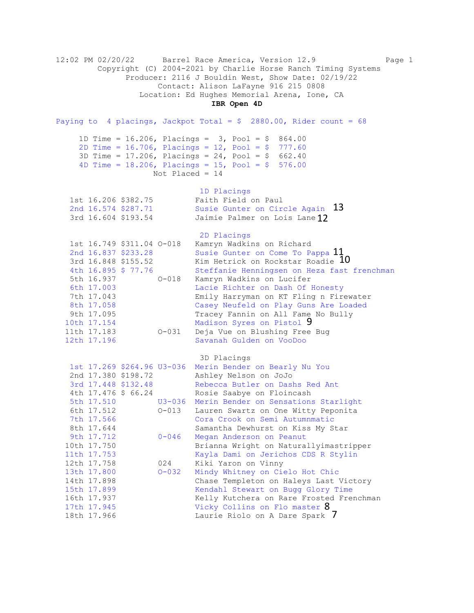12:02 PM 02/20/22 Barrel Race America, Version 12.9 Page 1 Copyright (C) 2004-2021 by Charlie Horse Ranch Timing Systems Producer: 2116 J Bouldin West, Show Date: 02/19/22 Contact: Alison LaFayne 916 215 0808 Location: Ed Hughes Memorial Arena, Ione, CA **IBR Open 4D** Paying to 4 placings, Jackpot Total =  $$2880.00$ , Rider count = 68 1D Time = 16.206, Placings = 3, Pool = \$ 864.00 2D Time = 16.706, Placings = 12, Pool = \$ 777.60 3D Time = 17.206, Placings = 24, Pool = \$ 662.40 4D Time =  $18.206$ , Placings =  $15$ , Pool =  $$576.00$  Not Placed = 14 1D Placings<br>Faith Field on Paul 1st 16.206 \$382.75 Faith Field on Paul 2nd 16.574 \$287.71 Susie Gunter on Circle Again 3rd 16.604 \$193.54 Jaimie Palmer on Lois Lane 2D Placings 1st 16.749 \$311.04 O-018 Kamryn Wadkins on Richard 2nd 16.837 \$233.28 Susie Gunter on Come To Pappa 3rd 16.848 \$155.52 Kim Hetrick on Rockstar Roadie 4th 16.895 \$ 77.76 Steffanie Henningsen on Heza fast frenchman 5th 16.937 O-018 Kamryn Wadkins on Lucifer 6th 17.003 Lacie Richter on Dash Of Honesty 7th 17.043 Emily Harryman on KT Fling n Firewater 8th 17.058 Casey Neufeld on Play Guns Are Loaded 9th 17.095 Tracey Fannin on All Fame No Bully 10th 17.154 Madison Syres on Pistol 11th 17.183 O-031 Deja Vue on Blushing Free Bug 12th 17.196 Savanah Gulden on VooDoo 3D Placings 1st 17.269 \$264.96 U3-036 Merin Bender on Bearly Nu You 2nd 17.380 \$198.72 Ashley Nelson on JoJo 3rd 17.448 \$132.48 Rebecca Butler on Dashs Red Ant 4th 17.476 \$ 66.24 Rosie Saabye on Floincash 5th 17.510 U3-036 Merin Bender on Sensations Starlight 6th 17.512 O-013 Lauren Swartz on One Witty Peponita 7th 17.566 Cora Crook on Semi Autumnmatic 8th 17.644 Samantha Dewhurst on Kiss My Star 9th 17.712 0-046 Megan Anderson on Peanut 10th 17.750 Brianna Wright on Naturallyimastripper 11th 17.753 Kayla Dami on Jerichos CDS R Stylin 12th 17.758 024 Kiki Yaron on Vinny 13th 17.800 O-032 Mindy Whitney on Cielo Hot Chic 14th 17.898 Chase Templeton on Haleys Last Victory 15th 17.899 Kendahl Stewart on Bugg Glory Time<br>16th 17.937 Kelly Kutchera on Rare Frosted Free<br>17th 17.945 Vicky Collins on Flo master  $\frac{8}{18}$ <br>18th 17.966 Laurie Riolo on A Dare Spark 7 Kelly Kutchera on Rare Frosted Frenchman 17th 17.945 Vicky Collins on Flo master 8 18th 17.966 Laurie Riolo on A Dare Spark 7 Madison Syres on Pistol 9 in 13<br>12<br><sub>ppa</sub> 11<br><sub>adie</sub> 10